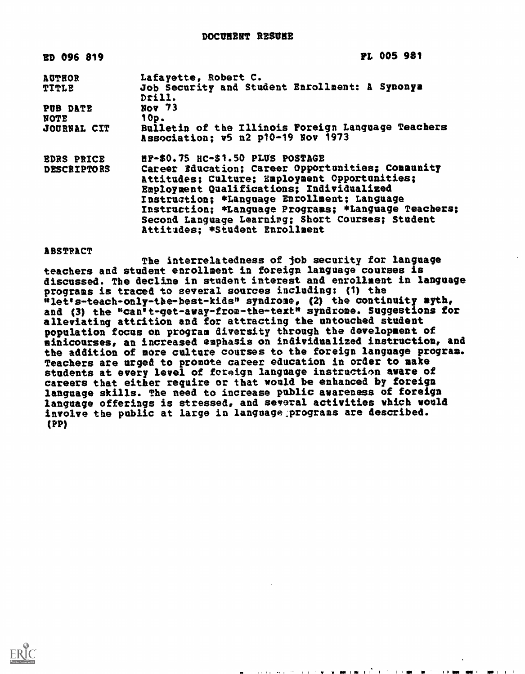| ED 096 819         | <b>PL 005 981</b>                                                                        |
|--------------------|------------------------------------------------------------------------------------------|
| <b>AUTHOR</b>      | Lafayette, Robert C.                                                                     |
| <b>TITLE</b>       | Job Security and Student Enrollment: A Synonya<br>Drill.                                 |
| PUB DATE           | Nov 73                                                                                   |
| NOTE               | 10p.                                                                                     |
| JOURNAL CIT        | Bulletin of the Illinois Foreign Language Teachers<br>Association: v5 n2 p10-19 Nov 1973 |
| <b>EDRS PRICE</b>  | HP-\$0.75 HC-\$1.50 PLUS POSTAGE                                                         |
| <b>DESCRIPTORS</b> | Career Education; Career Opportunities; Community                                        |
|                    | Attitudes; Culture; Employment Opportunities:                                            |
|                    | Employment Qualifications; Individualized                                                |
|                    | Instruction; *Language Enrollment; Language                                              |
|                    | Instruction; *Language Programs; *Language Teachers;                                     |
|                    | Second Language Learning; Short Courses; Student                                         |
|                    | Attitudes: *Student Enrollment                                                           |

ABSTRACT

The interrelatedness of job security for language teachers and student enrollment in foreign language courses is discussed. The decline in student interest and enrollment in language programs is traced to several sources including: (1) the net's-teach-only-the-best-kids\* syndrome, (2) the continuity myth, and (3) the "can't-get-away-from-the-text" syndrome. Suggestions for alleviating attrition and for attracting the untouched student population focus on program diversity through the development of sinicourses, an increased emphasis on individualized instruction, and the addition of more culture courses to the foreign language program. Teachers are urged to promote career education in order to make students at every level of foreign language instruction aware of careers that either require or that would be enhanced by foreign language skills. The need to increase public awareness of foreign language offerings is stressed, and several activities which would involve the public at large in language ;programs are described. (PP)

 $\mathbf{r} = \mathbf{r} + \mathbf{r} + \mathbf{r} + \mathbf{r} + \mathbf{r} + \mathbf{r} + \mathbf{r} + \mathbf{r}$  , where  $\mathbf{r} = \mathbf{r} + \mathbf{r} + \mathbf{r} + \mathbf{r} + \mathbf{r} + \mathbf{r} + \mathbf{r} + \mathbf{r} + \mathbf{r} + \mathbf{r} + \mathbf{r} + \mathbf{r} + \mathbf{r} + \mathbf{r} + \mathbf{r} + \mathbf{r} + \mathbf{r} + \mathbf{r} + \mathbf{r} + \mathbf{r} +$ 

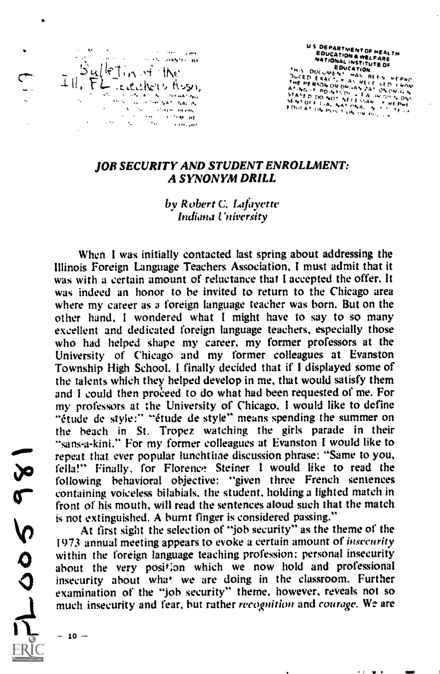

US DEPARTMENT OF NEAL THE SOUCATION AND LOCATED R WELFART NERT VE FERL<br>EDUCATION & WELFARE<br>NATIONAL INSTITUTE OF OUCATION OUCED EXALTY MA BEEN WERKO<br>THE PERSON OR DIMANELE VED FROM<br>MTM6 IT ROWTHOF FROM ON ORIGINAL<br>MATED FOR THOFF OF FROM ON ORIGINAL STATED DO NOT WELL FALURISH WAS NOW ...<br>RENTOLE CIAL NATIONAL IN ORT PVE!<br>FDUCATION POST ON ORIGINAL ...

. . **.** .

## JOB SECURITY AND STUDENT ENROLLMENT: A SYNONYM DRILL

## by Robert C. Lafayette Indiana l'niversity

When I was initially contacted last spring about addressing the Illinois Foreign Language Teachers Association, I must admit that it was with a certain amount of reluctance that I accepted the offer. It was indeed an honor to be invited to return to the Chicago area where my career as a foreign language teacher was born. But on the other hand. <sup>I</sup> wondered what <sup>I</sup>might have to say to so many excellent and dedicated foreign language teachers, especially those who had helped shape my career, my former professors at the University of Chicago and my former colleagues at Evanston Township High School. I finally decided that if I displayed some of the talents which they helped develop in me, that would satisfy them and I could then proceed to do what had been requested of me. For my professors at the University of Chicago, I would like to define "étude de style:" "étude de style" means spending the summer on the beach in St. Tropez watching the girls parade in their "sans-a-kini." For my former colleagues at Evanston I would like to repeat that ever popular lunchtime discussion phrase: "Same to you, fella!" Finally, for Florence, Steiner I would like to read the following behavioral objective: "given three French sentences containing voiceless bilabials, the student, holding a lighted match in front of his mouth, will read the sentences aloud such that the match is not extinguished. A burnt finger is considered passing."

At first sight the selection of "job security" as the theme of the 1973 annual meeting appears to evoke a certain amount of *insecurity* within the foreign language teaching profession: personal insecurity about the very position which we now hold and professional insecurity about what. we are doing in the classroom. Further examination of the "job security" theme, however, reveals not so much insecurity and fear, but rather recognition and courage. We are

 $-10 -$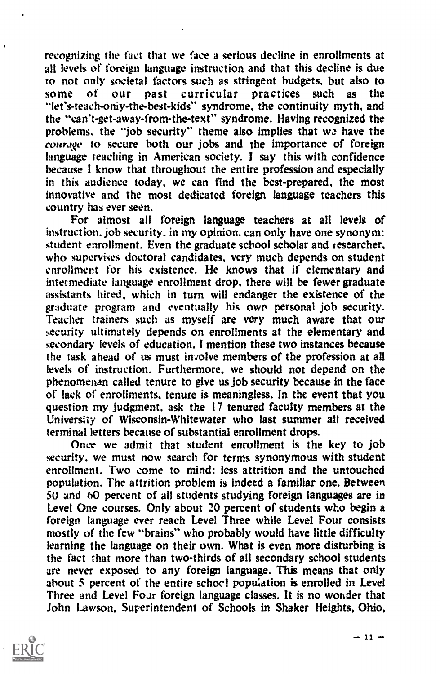recognizing the fact that we face a serious decline in enrollments at all levels of foreign language instruction and that this decline is due to not only societal factors such as stringent budgets, but also to some of our past curricular practices such as the some of our past curricular practices such as the "let's-teach-only-the-best-kids" syndrome, the continuity myth, and the "can't-get-away-from-the-text" syndrome. Having recognized the problems. the "job security" theme also implies that wa have the courage to secure both our jobs and the importance of foreign language teaching in American society. I say this with confidence because I know that throughout the entire profession and especially in this audience today, we can find the best-prepared, the most innovative and the most dedicated foreign language teachers this country has ever seen.

For almost all foreign language teachers at all levels of instruction, job security. in my opinion, can only have one synonym: student enrollment. Even the graduate school scholar and researcher, who supervises doctoral candidates, very much depends on student enrollment for his existence. He knows that if elementary and intermediate language enrollment drop, there will be fewer graduate assistants hired, which in turn will endanger the existence of the graduate program and eventually his own personal job security. Teacher trainers such as myself are very much aware that our security ultimately depends on enrollments at the elementary and secondary levels of education. I mention these two instances because the task ahead of us must involve members of the profession at all levels of instruction. Furthermore, we should not depend on the phenomenan called tenure to give us job security because in the face of lack of enrollments, tenure is meaningless. In the event that you question my judgment, ask the 17 tenured faculty members at the University of Wisconsin-Whitewater who last summer all received terminal letters because of substantial enrollment drops.

Once we admit that student enrollment is the key to job security, we must now search for terms synonymous with student enrollment. Two come to mind: less attrition and the untouched population. The attrition problem is indeed a familiar one. Between 50 and 60 percent of all students studying foreign languages are in Level One courses. Only about 20 percent of students who begin a foreign language ever reach Level Three while Level Four consists mostly of the few "brains" who probably would have little difficulty learning the language on their own. What is even more disturbing is the fact that more than two-thirds of all secondary school students are never exposed to any foreign language. This means that only about 5 percent of the entire school population is enrolled in Level Three and Level Four foreign language classes. It is no wonder that John Lawson, Superintendent of Schools in Shaker Heights, Ohio,



 $\cdot$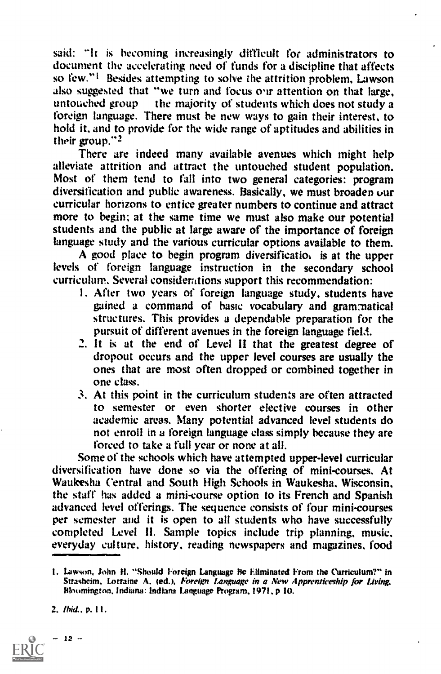said: "It is becoming increasingly difficult for administrators to document the accelerating need of funds for a discipline that affects so few."<sup>1</sup> Besides attempting to solve the attrition problem, Lawson also suggested that "we turn and focus our attention on that large, untouched group the majority of students which does not study a foreign language. There must be new ways to gain their interest, to hold it, and to provide for the wide range of aptitudes and abilities in their group."2

There are indeed many available avenues which might help alleviate attrition and attract the untouched student population. Most of them tend to fall into two general categories: program diversification and public awareness. Basically, we must broaden our curricular horizons to entice greater numbers to continue and attract more to begin; at the same time we must also make our potential students and the public at large aware of the importance of foreign language study and the various curricular options available to them.

A good place to begin program diversificatio<sub>i</sub> is at the upper levels of foreign language instruction in the secondary school curriculum. Several considerations support this recommendation:

- I. After two years of foreign language study, students have gained a command of haste vocabulary and grammatical structures. This provides a dependable preparation for the pursuit of different avenues in the foreign language field.
- It is at the end of Level II that the greatest degree of dropout occurs and the upper level courses are usually the ones that are most often dropped or combined together in one class.
- 3. At this point in the curriculum students are often attracted to semester or even shorter elective courses in other academic areas. Many potential advanced level students do not enroll in a foreign language class simply because they are forced to take a full year or none at all.

Some of the schools which have attempted upper-level curricular diversification have done so via the offering of mini-courses. At Waukesha Central and South High Schools in Waukesha. Wisconsin, the staff has added a mini-course option to its French and Spanish advanced level offerings. The sequence consists of four mini-courses per semester and it is open to all students who have successfully completed Level II. Sample topics include trip planning, music, everyday culture, history, reading newspapers and magazines, food

t. Lawson, John II. "Should Foreign Language He Eliminated From the Curriculum?" in Strasheim, Lorraine A. (ed.), Foreign Language in a New Apprenticeship for Living. Bloomington, Indiana: Indiana Language Program, 1971, p 10.



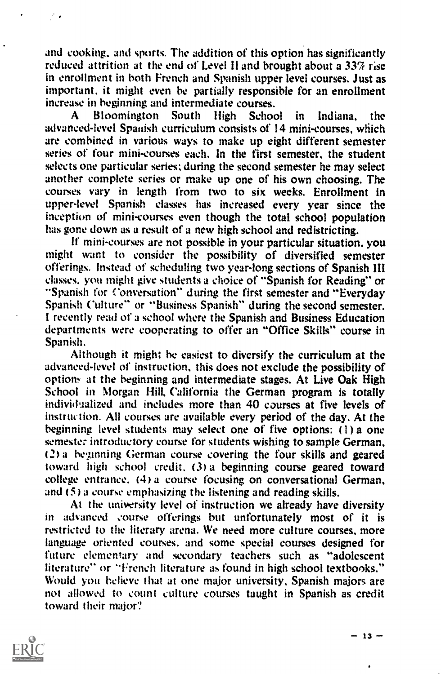and cooking, and sports. The addition of this option has significantly reduced attrition at the end of Level !land brought about a 33% rise in enrollment in both French and Spanish upper level courses. Just as important. it might even be partially responsible for an enrollment increase in beginning and intermediate courses.

A Bloomington South High School in Indiana, the advanced-level Spanish curriculum consists of 14 mini-courses, which are combined in various ways to make up eight different semester series of four mini-courses each. In the first semester, the student selects one particular series; during the second semester he may select another complete series or make up one of his own choosing. The courses vary in length from two to six weeks. Enrollment in upper-level Spanish classes has increased every year since the inception of mini-courses even though the total school population has gone down as a result of a new high school and redistricting.

If mini-courses are not possible in your particular situation, you might want to consider the possibility of diversified semester offerings. Instead of scheduling two year-long sections of Spanish III classes, you might give students a choice of "Spanish for Reading" or "Spanish for Conversation" during the first semester and "Everyday Spanish Culture" or "Business Spanish" during the second semester. I recently read of a school where the Spanish and Business Education departments were cooperating to offer an "Office Skills" course in Spanish.

Although it might he easiest to diversify the curriculum at the advanced-level of instruction, this does not exclude the possibility of options at the beginning and intermediate stages. At Live Oak High School in Morgan Hill, California the German program is totally individualized and includes more than 40 courses at five levels of instruction. All courses are available every period of the day. At the beginning level students may select one of five options: (1) a one semester introductory course for students wishing to sample German, (2) a beginning German course covering the four skills and geared toward high school credit. (3) a beginning course geared toward college entrance. (4) a course focusing on conversational German, and (5) a course emphasizing the listening and reading skills.

At the university level of instruction we already have diversity in advanced course offerings but unfortunately most of it is restricted to the literary arena. We need more culture courses, more language oriented courses, and some special courses designed for future elementary and secondary teachers such as "adolescent literature" or "French literature as found in high school textbooks." Would you believe that at one major university, Spanish majors are not allowed to count culture courses taught in Spanish as credit toward their major?

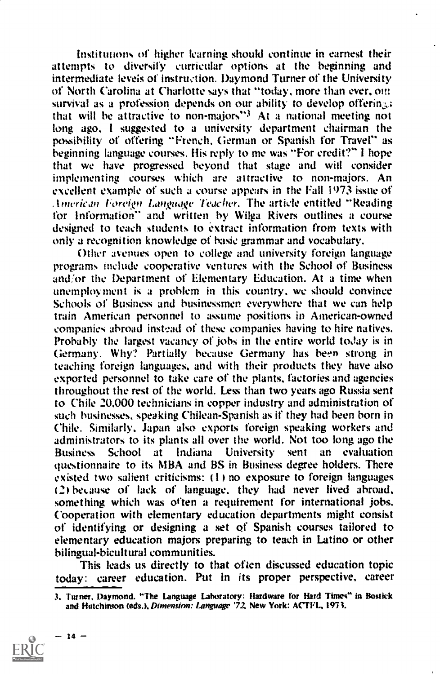Institutions of higher learning should continue in earnest their attempts to diversify curricular options at the beginning and intermediate levels of instruction. Daymond Turner of the University of North Carolina at Charlotte says that "today, more than ever, on: survival as a profession depends on our ability to develop offering; that will be attractive to non-majors"3 At a national meeting not long ago. <sup>I</sup> suggested to a university department chairman the possibility of offering "French. German or Spanish for Travel" as beginning language courses. His reply to me was "For credit?" I hope that we have progressed beyond that stage and wiil consider implementing courses which are attractive to non-majors. An excellent example of such a course appears in the Fall 1973 issue of American Foreign Language Teacher. The article entitled "Reading for Information" and written by Wilga Rivers outlines a course designed to teach students to extract information from texts with only a recognition knowledge of basic grammar and vocabulary.

Other avenues open to college and university foreign language programs include cooperative ventures with the School of Business and/or the Department of Elementary Education. At a time when unemployment is a problem in this country. we should convince Schools of Business and businessmen everywhere that we can help train American personnel to assume positions in American-owned companies abroad instead of these companies having to hire natives. Probably the largest vacancy of jobs in the entire world today is in Germany. Why? Partially because Germany has been strong in teaching foreign languages. and with their products they have also exported personnel to take care of the plants. factories and agencies throughout the rest of the world. Less than two years ago Russia sent to Chile 20.000 technicians in copper industry and administration of such businesses, speaking Chilean-Spanish as if they had been born in Chile. Similarly, Japan also exports foreign speaking workers and administrators to its plants all over the world. Not too long ago the Business School at Indiana University sent an evaluation Business School at Indiana University sent an evaluation questionnaire to its MBA and BS in Business degree holders. There existed two salient criticisms:  $(1)$  no exposure to foreign languages (2) because of lack of language. they had never lived abroad. something which was often a requirement for international jobs. Cooperation with elementary education departments might consist of identifying or designing a set of Spanish courses tailored to elementary education majors preparing to teach in Latino or other bilingual-bicultural communities.

This leads us directly to that often discussed education topic today: career education. Put in its proper perspective, career

<sup>3.</sup> Turner. Daymond. "The Language Laboratory: Hardware for Hard Times" in Bostick and Hutchinson (eds.), Dimension: Language '72, New York: ACTFL, 1973.

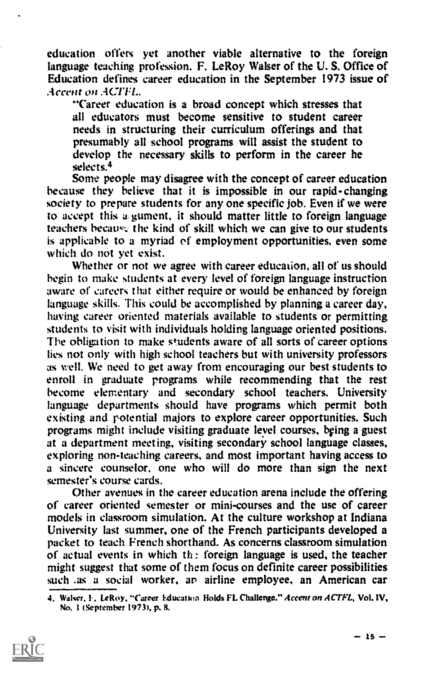education offers yet another viable alternative to the foreign language teaching profession. F. LeRoy Walser of the U. S. Office of Education defines career education in the September 1973 issue of Accent on ACTFL.

"Career education is a broad concept which stresses that all educators must become sensitive to student career needs in structuring their curriculum offerings and that presumably all school programs will assist the student to develop the necessary skills to perform in the career he selects.4

Some people may disagree with the concept of career education because they believe that it is impossible in our rapid-changing society to prepare students for any one specific job. Even if we were to accept this a gument, it should matter little to foreign language teachers because the kind of skill which we can give to our students is applicable to a myriad of employment opportunities, even some which do not yet exist.

Whether or not we agree with career education, all of us should begin to make students at every level of foreign language instruction aware of careers that either require or would be enhanced by foreign language skills. This could be accomplished by planning a career day, having career oriented materials available to students or permitting students to visit with individuals holding language oriented positions. The obligation to make students aware of all sorts of career options lies not only with high school teachers but with university professors as well. We need to get away from encouraging our best students to enroll in graduate programs while recommending that the rest become elementary and secondary school teachers. University language departments should have programs which permit both existing and potential majors to explore career opportunities. Such programs might include visiting graduate level courses, being a guest at a department meeting, visiting secondary school language classes, exploring non-teaching careers, and most important having access to a sincere counselor, one who will do more than sign the next semester's course cards.

Other avenues in the career education arena include the offering of career oriented semester or mini-courses and the use of career models in classroom simulation. At the culture workshop at Indiana University last summer, one of the French participants developed a packet to teach French shorthand. As concerns classroom simulation of actual events in which the foreign language is used, the teacher might suggest that some of them focus on definite career possibilities such as a social worker, an airline employee, an American car

<sup>4.</sup> Walser, F. LeRoy. "Career Education Holds FL Challenge." Accent on ACTFL, Vol. IV, No. I (September 19734 p. R.

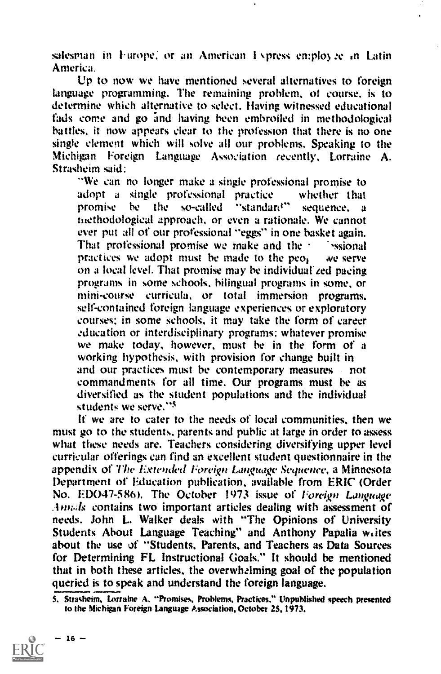salesman in Furope, or an American I  $\gamma$  press employ  $\mathcal{R}$  in Latin America.

Up to now we have mentioned several alternatives to foreign language programming. The remaining problem, of course. is to determine which alternative to select. Having witnessed educational fads come and go and having been embroiled in methodological battles, it now appears clear to the profession that there is no one single element which will solve all our problems. Speaking to the Michigan Foreign Language Association recently, Lorraine A. Strasheim said:

"We can no longer make a single professional promise to adopt a single professional practice whether that<br>promise be the so-called "standard" sequence, a "standard" sequence. niethodological approach, or even a rationale. We cannot ever put all of our professional "eggs" in one basket again. That professional promise we make and the  $\cdot$  ssional practices we adopt must be made to the people we serve on a local level. That promise may be individual zed pacing programs in some schools. bilingual programs in some, or mini-course curricula, or total immersion programs. self-contained foreign language experiences or exploratory courses: in some schools, it may take the form of career education or interdisciplinary programs: whatever promise we make today, however, must be in the form of a working hypothesis, with provision for change built in and our practices must be contemporary measures not commandments for all time. Our programs must be as diversified as the student populations and the individual students we serve."5

If we arc to cater to the needs of local communities, then we must go to the students, parents and public at large in order to assess what these needs are. Teachers considering diversifying upper level curricular offerings can find an excellent student questionnaire in the appendix of The Extended Foreign Language Sequence. a Minnesota Department of Education publication, available from ERIC (Order No. EDO47-586). The October 1973 issue of Foreign Language .-Inn.ds contains two important articles dealing with assessment of needs. John L. Walker deals with "The Opinions of University Students About Language Teaching" and Anthony Papalia writes about the use of "Students, Parents, and Teachers as Data Sources for Determining FL Instructional Goals." It should be mentioned that in both these articles, the overwhelming goal of the population queried is to speak and understand the foreign language.

<sup>5.</sup> Stracheim, Lorraine A. "Promises. Problems. Practices." Unpublished speech presented to the Michigan Foreign Language Association, October 25.1973.

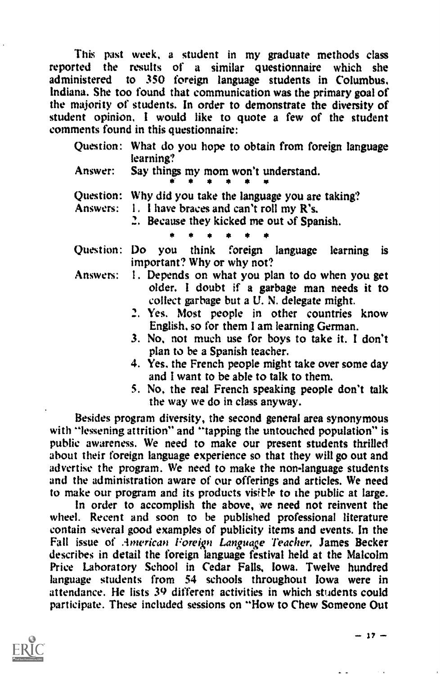This past week, a student in my graduate methods class<br>rted the results of a similar questionnaire which she reported the results of a similar questionnaire administered to 350 foreign language students in Columbus. Indiana. She too found that communication was the primary goal of the majority of students. In order to demonstrate the diversity of student opinion. I would like to quote a few of the student comments found in this questionnaire:

|         | Question: What do you hope to obtain from foreign language<br>learning?                                                                                  |
|---------|----------------------------------------------------------------------------------------------------------------------------------------------------------|
| Answer: | Say things my mom won't understand.                                                                                                                      |
|         | Question: Why did you take the language you are taking?<br>Answers: 1. I have braces and can't roll my R's.<br>2. Because they kicked me out of Spanish. |
|         |                                                                                                                                                          |
|         | Question: Do you think foreign language<br>learning<br>is.<br>important? Why or why not?                                                                 |
|         | Answers: 1. Depends on what you plan to do when you get<br>older. I doubt if a garbage man needs it to<br>collect garbage but a U. N. delegate might.    |

- 2. Yes. Most people in other countries know English. so for them I am learning German.
- 3. No, not much use for boys to take it. I don't plan to be a Spanish teacher.
- 4. Yes, the French people might take over some day and I want to be able to talk to them.
- 5. No, the real French speaking people don't talk the way we do in class anyway.

Besides program diversity, the second general area synonymous with "lessening attrition" and "tapping the untouched population" is public awareness. We need to make our present students thrilled about their foreign language experience so that they will go out and advertise the program. We need to make the non-language students and the administration aware of our offerings and articles. We need to make our program and its products visible to the public at large.

In order to accomplish the above, we need not reinvent the wheel. Recent and soon to be published professional literature contain several good examples of publicity items and events. In the Fall issue of American Foreign Language Teacher, James Becker describes in detail the foreign language festival held at the Malcolm Price Laboratory School in Cedar Falls, Iowa. Twelve hundred language students from 54 schools throughout Iowa were in attendance. He lists 39 different activities in which students could participate. These included sessions on "How to Chew Someone Out

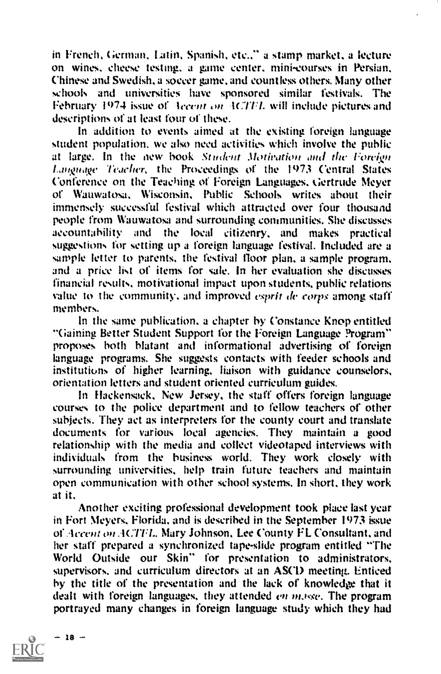in French, German, Latin, Spanish. etc.." a stamp market. a lecture on wines. cheese testing. a game center. mini-courses in Persian. Chinese and Swedish. a soccer game. and countless others. Many other schools and universities have sponsored similar festivals. The February 1974 issue of Accent on ACTFL will include pictures and descriptions of at least four of these.

In addition to events aimed at the existing foreign language student population. we also need activities which involve the public at large. In the new book Student Motivation and the Foreign tangnqt. Teacher, the Proceedings of the 1973 Central States Conference on the Teaching of Foreign Languages. tiertrude Meyer of Wauwatosa. Wisconsin, Public Schools writes about their immensely successful festival which attracted over four thousand people from Wauwatosa and surrounding communities. She discusses accountability and the local citizenry, and makes practical suggestions for setting up a foreign language festival. Included are a sample letter to parents. the festival floor plan, a sample program. and a price list of items for sale. In her evaluation she discusses financial results, motivational impact upon students, public relations value to the community, and improved *esprit de corps* among staff members.

In the same publication, a chapter by Constance knop entitled "Gaining Better Student Support for the Foreign Language Program" proposes both blatant and informational advertising of foreign language programs. She suggests contacts with feeder schools and institutions of higher learning, liaison with guidance counselors, orientation letters and student oriented curriculum guides.

in Flackensack. New Jersey, the staff offers foreign language courses to the police department and to fellow teachers of other subjects. They act as interpreters for the county court and translate documents for various local agencies. They maintain a good relationship with the media and collect videotaped interviews with individuals from the business world. They work closely with surrounding universities, help train future teachers and maintain open communication with other school systems. In short, they work at it.

Another exciting professional development took place last year in Fort Meyers, Florida. and is described in the September 1973 issue of Accent on ACTFL. Mary Johnson, Lee County FL Consultant, and her staff prepared a synchronized tape-slide program entitled "The World Outside our Skin" for presentation to administrators, supervisors, and curriculum directors at an ASCD meeting. Enticed by the title of the presentation and the lack of knowledge that it dealt with foreign languages, they attended *en masse*. The program portrayed many changes in foreign language study which they had

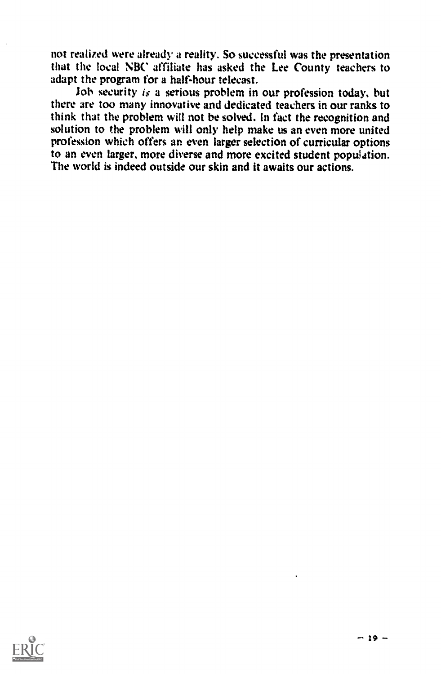not realized were already a reality. So successful was the presentation that the local NBC affiliate has asked the Lee County teachers to adapt the program for a half-hour telecast.

Job security is a serious problem in our profession today, but there are too many innovative and dedicated teachers in our ranks to think that the problem will not be solved. In fact the recognition and solution to the problem will only help make us an even more united profession which offers an even larger selection of curricular options to an even larger. more diverse and more excited student population. The world is indeed outside our skin and it awaits our actions.

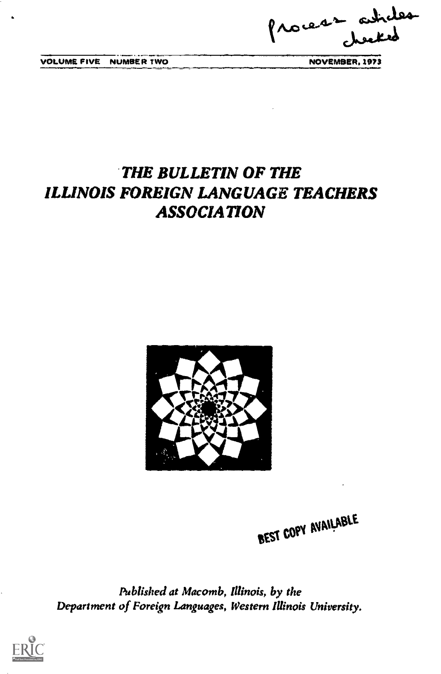Process astroles

VOLUME FIVE NUMBER TWO NOVEMBER. 1973

## THE BULLETIN OF THE ILLINOIS FOREIGN LANGUAGE TEACHERS ASSOCIATION



BEST COPY AVAILABLE

Published at Macomb, Illinois, by the Department of Foreign Languages, Western Illinois University.